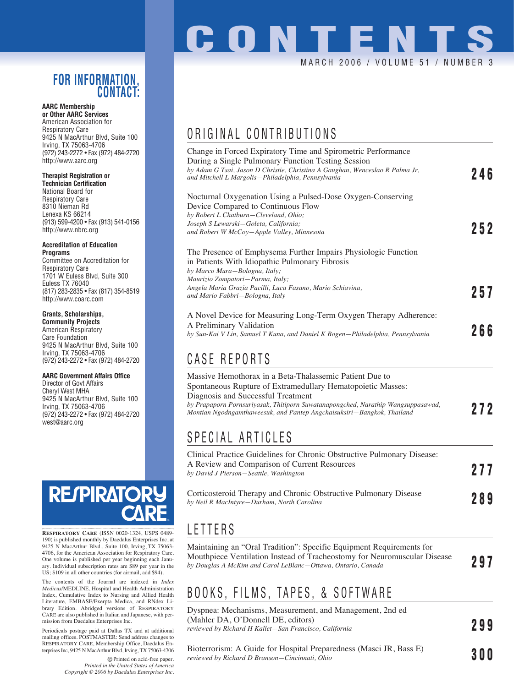## **FOR INFORMATION, CONTACT:**

#### **AARC Membership or Other AARC Services**

American Association for Respiratory Care 9425 N MacArthur Blvd, Suite 100 Irving, TX 75063-4706 (972) 243-2272 • Fax (972) 484-2720 http://www.aarc.org

### **Therapist Registration or**

**Technician Certification** National Board for Respiratory Care 8310 Nieman Rd Lenexa KS 66214 (913) 599-4200 • Fax (913) 541-0156 http://www.nbrc.org

#### **Accreditation of Education Programs**

Committee on Accreditation for Respiratory Care 1701 W Euless Blvd, Suite 300 Euless TX 76040 (817) 283-2835 • Fax (817) 354-8519 http://www.coarc.com

## **Grants, Scholarships,**

**Community Projects** American Respiratory Care Foundation 9425 N MacArthur Blvd, Suite 100 Irving, TX 75063-4706 (972) 243-2272 • Fax (972) 484-2720

### **AARC Government Affairs Office**

Director of Govt Affairs Cheryl West MHA 9425 N MacArthur Blvd, Suite 100 Irving, TX 75063-4706 (972) 243-2272 • Fax (972) 484-2720 west@aarc.org



**RESPIRATORY CARE** (ISSN 0020-1324, USPS 0489- 190) is published monthly by Daedalus Enterprises Inc, at 9425 N MacArthur Blvd., Suite 100, Irving, TX 75063- 4706, for the American Association for Respiratory Care. One volume is published per year beginning each January. Individual subscription rates are \$89 per year in the US; \$109 in all other countries (for airmail, add \$94).

The contents of the Journal are indexed in *Index Medicus*/MEDLINE, Hospital and Health Administration Index, Cumulative Index to Nursing and Allied Health Literature, EMBASE/Exerpta Medica, and RNdex Library Edition. Abridged versions of RESPIRATORY CARE are also published in Italian and Japanese, with permission from Daedalus Enterprises Inc.

Periodicals postage paid at Dallas TX and at additional mailing offices. POSTMASTER: Send address changes to RESPIRATORY CARE, Membership Office, Daedalus Enterprises Inc, 9425 N MacArthur Blvd, Irving, TX 75063-4706

> Printed on acid-free paper. *Printed in the United States of America Copyright © 2006 by Daedalus Enterprises Inc.*

# **CONTENTS** MARCH 2006 / VOLUME 51 / NUMBER 3

## ORIGINAL CONTRIBUTIONS

| Change in Forced Expiratory Time and Spirometric Performance<br>During a Single Pulmonary Function Testing Session<br>by Adam G Tsai, Jason D Christie, Christina A Gaughan, Wenceslao R Palma Jr,               |     |
|------------------------------------------------------------------------------------------------------------------------------------------------------------------------------------------------------------------|-----|
| and Mitchell L Margolis-Philadelphia, Pennsylvania                                                                                                                                                               | 246 |
| Nocturnal Oxygenation Using a Pulsed-Dose Oxygen-Conserving<br>Device Compared to Continuous Flow<br>by Robert L Chatburn-Cleveland, Ohio;<br>Joseph S Lewarski-Goleta, California;                              |     |
| and Robert W McCoy-Apple Valley, Minnesota                                                                                                                                                                       | 252 |
| The Presence of Emphysema Further Impairs Physiologic Function<br>in Patients With Idiopathic Pulmonary Fibrosis<br>by Marco Mura-Bologna, Italy;<br>Maurizio Zompatori–Parma, Italy;                            |     |
| Angela Maria Grazia Pacilli, Luca Fasano, Mario Schiavina,<br>and Mario Fabbri-Bologna, Italy                                                                                                                    | 257 |
|                                                                                                                                                                                                                  |     |
| A Novel Device for Measuring Long-Term Oxygen Therapy Adherence:                                                                                                                                                 |     |
| A Preliminary Validation<br>by Sun-Kai V Lin, Samuel T Kuna, and Daniel K Bogen-Philadelphia, Pennsylvania                                                                                                       | 266 |
| CASE REPORTS                                                                                                                                                                                                     |     |
| Massive Hemothorax in a Beta-Thalassemic Patient Due to<br>Spontaneous Rupture of Extramedullary Hematopoietic Masses:                                                                                           |     |
| Diagnosis and Successful Treatment                                                                                                                                                                               |     |
| by Prapaporn Pornsuriyasak, Thitiporn Suwatanapongched, Narathip Wangsuppasawad,<br>Montian Ngodngamthaweesuk, and Pantep Angchaisuksiri-Bangkok, Thailand                                                       | 272 |
| SPECIAL ARTICLES                                                                                                                                                                                                 |     |
| Clinical Practice Guidelines for Chronic Obstructive Pulmonary Disease:                                                                                                                                          |     |
| A Review and Comparison of Current Resources                                                                                                                                                                     | 277 |
| by David J Pierson-Seattle, Washington                                                                                                                                                                           |     |
| Corticosteroid Therapy and Chronic Obstructive Pulmonary Disease<br>by Neil R MacIntyre-Durham, North Carolina                                                                                                   | 289 |
| LETTERS                                                                                                                                                                                                          |     |
| Maintaining an "Oral Tradition": Specific Equipment Requirements for<br>Mouthpiece Ventilation Instead of Tracheostomy for Neuromuscular Disease<br>by Douglas A McKim and Carol LeBlanc-Ottawa, Ontario, Canada | 297 |
|                                                                                                                                                                                                                  |     |

## BOOKS, FILMS, TAPES, & SOFTWARE

Dyspnea: Mechanisms, Measurement, and Management, 2nd ed (Mahler DA, O'Donnell DE, editors) *reviewed by Richard H Kallet—San Francisco, California* **299**

Bioterrorism: A Guide for Hospital Preparedness (Masci JR, Bass E) *reviewed by Richard D Branson—Cincinnati, Ohio* **<b>3000 3000 3000 3000 3000 3000 3000 3000 3000 3000 3000 3000 3000 3000 3000 3000 3000 3000 3000 3000 3000 3000 3000 3000 300**